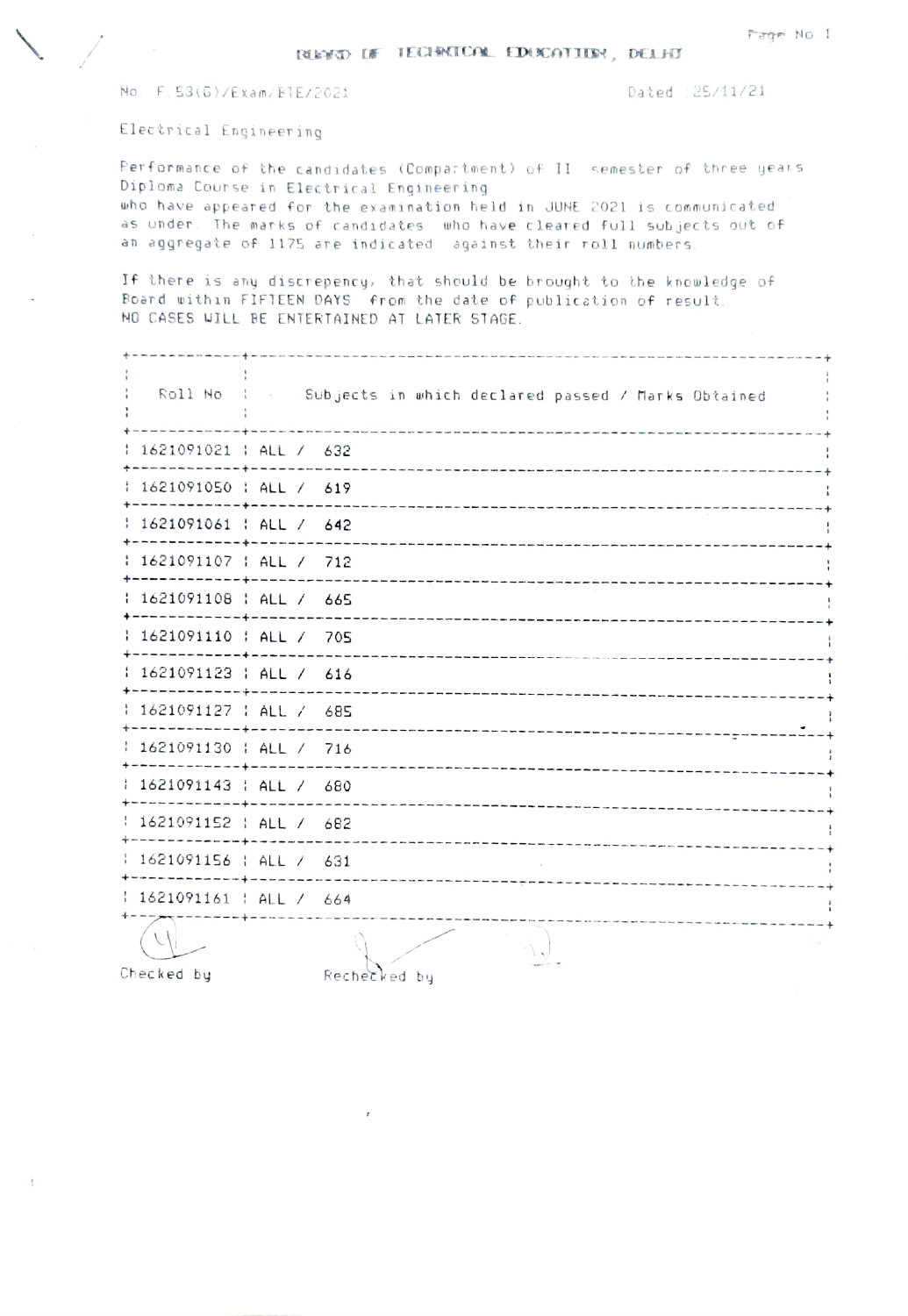Dated : 25/11/21

Electrical Engineering

Performance of the candidates (Compartment) of II semester of three years Diploma Course in Electrical Engineering who have appeared for the examination held in JUNE 2021 is communicated as under. The marks of candidates who have cleared full subjects out of an aggregate of 1175 are indicated against their roll numbers.

If there is any discrepency, that should be brought to the knowledge of Board within FIFTEEN DAYS from the date of publication of result. NO CASES WILL BE ENTERTAINED AT LATER STAGE.

|                                          | Roll No : . Subjects in which declared passed / Marks Obtained<br>the contract of the first state and the contract of the contract of the contract of the contract of the contract of the contract |  |
|------------------------------------------|----------------------------------------------------------------------------------------------------------------------------------------------------------------------------------------------------|--|
| 1621091021   ALL / 632<br>----------     |                                                                                                                                                                                                    |  |
| 1 1621091050 : ALL / 619                 |                                                                                                                                                                                                    |  |
| 1621091061   ALL / 642                   |                                                                                                                                                                                                    |  |
| : 1621091107 : ALL / 712                 |                                                                                                                                                                                                    |  |
| 1621091108   ALL / 665<br>----------4    | ---------------------------------                                                                                                                                                                  |  |
| 1621091110   ALL / 705                   |                                                                                                                                                                                                    |  |
| : 1621091123 : ALL / 616                 | ------------------------<br>-------------------------------------                                                                                                                                  |  |
| : 1621091127 : ALL / 685<br>----------+  |                                                                                                                                                                                                    |  |
| 1621091130   ALL / 716                   | ---------------------------------                                                                                                                                                                  |  |
| 1621091143   ALL / 680<br>-------------  | ---------------------------                                                                                                                                                                        |  |
| 1621091152   ALL / 682<br>----------+--- | -----------------------------                                                                                                                                                                      |  |
| 1621091156   ALL / 631<br>-----------+-  |                                                                                                                                                                                                    |  |
| $1621091161$   ALL / 664                 |                                                                                                                                                                                                    |  |
|                                          |                                                                                                                                                                                                    |  |

Checked by

Rechecked by